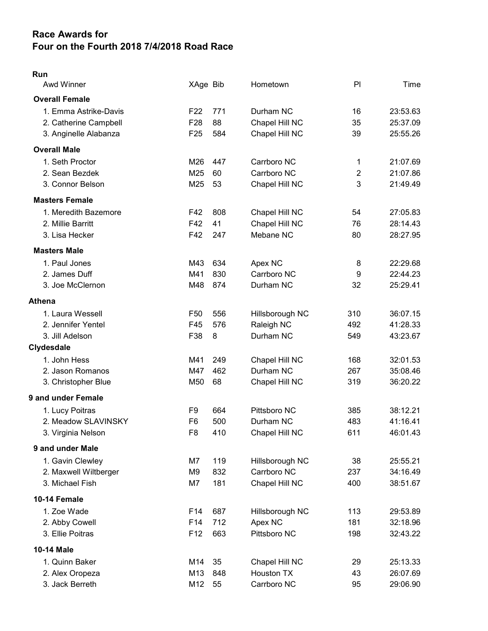## Race Awards for Four on the Fourth 2018 7/4/2018 Road Race

## Run

| <b>Awd Winner</b>     | XAge Bib        |     | Hometown          | P <sub>1</sub> | Time     |
|-----------------------|-----------------|-----|-------------------|----------------|----------|
| <b>Overall Female</b> |                 |     |                   |                |          |
| 1. Emma Astrike-Davis | F <sub>22</sub> | 771 | Durham NC         | 16             | 23:53.63 |
| 2. Catherine Campbell | F <sub>28</sub> | 88  | Chapel Hill NC    | 35             | 25:37.09 |
| 3. Anginelle Alabanza | F <sub>25</sub> | 584 | Chapel Hill NC    | 39             | 25:55.26 |
| <b>Overall Male</b>   |                 |     |                   |                |          |
| 1. Seth Proctor       | M26             | 447 | Carrboro NC       | 1              | 21:07.69 |
| 2. Sean Bezdek        | M25             | 60  | Carrboro NC       | $\overline{2}$ | 21:07.86 |
| 3. Connor Belson      | M25             | 53  | Chapel Hill NC    | 3              | 21:49.49 |
| <b>Masters Female</b> |                 |     |                   |                |          |
| 1. Meredith Bazemore  | F42             | 808 | Chapel Hill NC    | 54             | 27:05.83 |
| 2. Millie Barritt     | F42             | 41  | Chapel Hill NC    | 76             | 28:14.43 |
| 3. Lisa Hecker        | F42             | 247 | Mebane NC         | 80             | 28:27.95 |
| <b>Masters Male</b>   |                 |     |                   |                |          |
| 1. Paul Jones         | M43             | 634 | Apex NC           | 8              | 22:29.68 |
| 2. James Duff         | M41             | 830 | Carrboro NC       | 9              | 22:44.23 |
| 3. Joe McClernon      | M48             | 874 | Durham NC         | 32             | 25:29.41 |
| <b>Athena</b>         |                 |     |                   |                |          |
| 1. Laura Wessell      | F <sub>50</sub> | 556 | Hillsborough NC   | 310            | 36:07.15 |
| 2. Jennifer Yentel    | F45             | 576 | Raleigh NC        | 492            | 41:28.33 |
| 3. Jill Adelson       | F38             | 8   | Durham NC         | 549            | 43:23.67 |
| Clydesdale            |                 |     |                   |                |          |
| 1. John Hess          | M41             | 249 | Chapel Hill NC    | 168            | 32:01.53 |
| 2. Jason Romanos      | M47             | 462 | Durham NC         | 267            | 35:08.46 |
| 3. Christopher Blue   | M50             | 68  | Chapel Hill NC    | 319            | 36:20.22 |
| 9 and under Female    |                 |     |                   |                |          |
| 1. Lucy Poitras       | F <sub>9</sub>  | 664 | Pittsboro NC      | 385            | 38:12.21 |
| 2. Meadow SLAVINSKY   | F <sub>6</sub>  | 500 | Durham NC         | 483            | 41:16.41 |
| 3. Virginia Nelson    | F <sub>8</sub>  | 410 | Chapel Hill NC    | 611            | 46:01.43 |
| 9 and under Male      |                 |     |                   |                |          |
| 1. Gavin Clewley      | M7              | 119 | Hillsborough NC   | 38             | 25:55.21 |
| 2. Maxwell Wiltberger | M9              | 832 | Carrboro NC       | 237            | 34:16.49 |
| 3. Michael Fish       | M7              | 181 | Chapel Hill NC    | 400            | 38:51.67 |
| 10-14 Female          |                 |     |                   |                |          |
| 1. Zoe Wade           | F14             | 687 | Hillsborough NC   | 113            | 29:53.89 |
| 2. Abby Cowell        | F14             | 712 | Apex NC           | 181            | 32:18.96 |
| 3. Ellie Poitras      | F <sub>12</sub> | 663 | Pittsboro NC      | 198            | 32:43.22 |
| <b>10-14 Male</b>     |                 |     |                   |                |          |
| 1. Quinn Baker        | M14             | 35  | Chapel Hill NC    | 29             | 25:13.33 |
| 2. Alex Oropeza       | M13             | 848 | <b>Houston TX</b> | 43             | 26:07.69 |
| 3. Jack Berreth       | M12             | 55  | Carrboro NC       | 95             | 29:06.90 |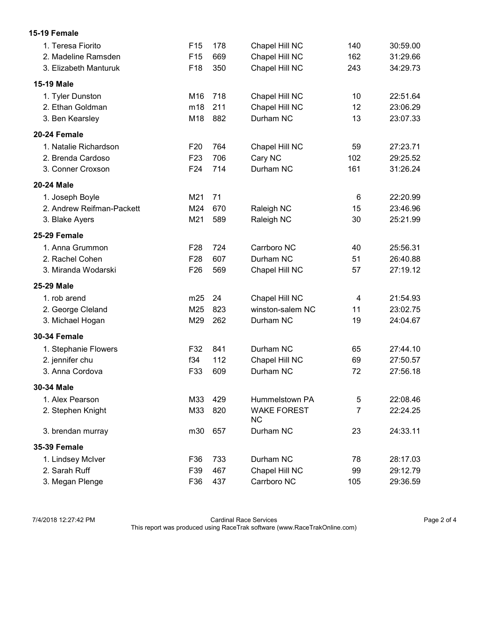| 15-19 Female              |                 |     |                                 |     |          |
|---------------------------|-----------------|-----|---------------------------------|-----|----------|
| 1. Teresa Fiorito         | F <sub>15</sub> | 178 | Chapel Hill NC                  | 140 | 30:59.00 |
| 2. Madeline Ramsden       | F <sub>15</sub> | 669 | Chapel Hill NC                  | 162 | 31:29.66 |
| 3. Elizabeth Manturuk     | F <sub>18</sub> | 350 | Chapel Hill NC                  | 243 | 34:29.73 |
| <b>15-19 Male</b>         |                 |     |                                 |     |          |
| 1. Tyler Dunston          | M16             | 718 | Chapel Hill NC                  | 10  | 22:51.64 |
| 2. Ethan Goldman          | m18             | 211 | Chapel Hill NC                  | 12  | 23:06.29 |
| 3. Ben Kearsley           | M18             | 882 | Durham NC                       | 13  | 23:07.33 |
| 20-24 Female              |                 |     |                                 |     |          |
| 1. Natalie Richardson     | F <sub>20</sub> | 764 | Chapel Hill NC                  | 59  | 27:23.71 |
| 2. Brenda Cardoso         | F <sub>23</sub> | 706 | Cary NC                         | 102 | 29:25.52 |
| 3. Conner Croxson         | F <sub>24</sub> | 714 | Durham NC                       | 161 | 31:26.24 |
| 20-24 Male                |                 |     |                                 |     |          |
| 1. Joseph Boyle           | M21             | 71  |                                 | 6   | 22:20.99 |
| 2. Andrew Reifman-Packett | M24             | 670 | Raleigh NC                      | 15  | 23:46.96 |
| 3. Blake Ayers            | M21             | 589 | Raleigh NC                      | 30  | 25:21.99 |
| 25-29 Female              |                 |     |                                 |     |          |
| 1. Anna Grummon           | F <sub>28</sub> | 724 | Carrboro NC                     | 40  | 25:56.31 |
| 2. Rachel Cohen           | F <sub>28</sub> | 607 | Durham NC                       | 51  | 26:40.88 |
| 3. Miranda Wodarski       | F <sub>26</sub> | 569 | Chapel Hill NC                  | 57  | 27:19.12 |
| 25-29 Male                |                 |     |                                 |     |          |
| 1. rob arend              | m25             | 24  | Chapel Hill NC                  | 4   | 21:54.93 |
| 2. George Cleland         | M25             | 823 | winston-salem NC                | 11  | 23:02.75 |
| 3. Michael Hogan          | M29             | 262 | Durham NC                       | 19  | 24:04.67 |
| <b>30-34 Female</b>       |                 |     |                                 |     |          |
| 1. Stephanie Flowers      | F32             | 841 | Durham NC                       | 65  | 27:44.10 |
| 2. jennifer chu           | f34             | 112 | Chapel Hill NC                  | 69  | 27:50.57 |
| 3. Anna Cordova           | F33             | 609 | Durham NC                       | 72  | 27:56.18 |
| 30-34 Male                |                 |     |                                 |     |          |
| 1. Alex Pearson           | M33             | 429 | Hummelstown PA                  | 5   | 22:08.46 |
| 2. Stephen Knight         | M33             | 820 | <b>WAKE FOREST</b><br><b>NC</b> | 7   | 22:24.25 |
| 3. brendan murray         | m30             | 657 | Durham NC                       | 23  | 24:33.11 |
| <b>35-39 Female</b>       |                 |     |                                 |     |          |
| 1. Lindsey McIver         | F36             | 733 | Durham NC                       | 78  | 28:17.03 |
| 2. Sarah Ruff             | F39             | 467 | Chapel Hill NC                  | 99  | 29:12.79 |
| 3. Megan Plenge           | F36             | 437 | Carrboro NC                     | 105 | 29:36.59 |

7/4/2018 12:27:42 PM Cardinal Race Services Page 2 of 4 This report was produced using RaceTrak software (www.RaceTrakOnline.com)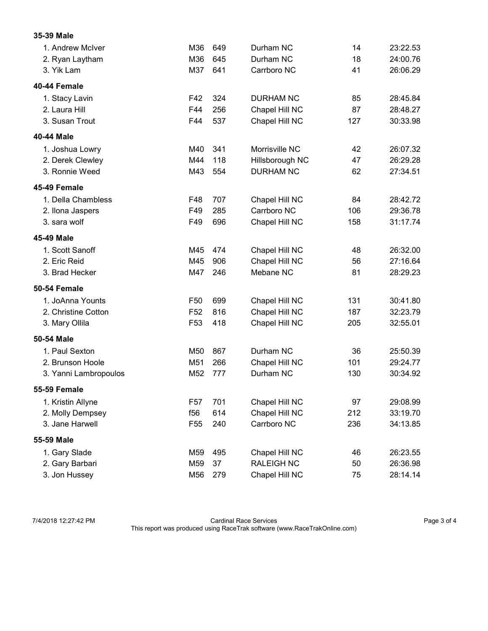## 35-39 Male

| 1. Andrew McIver      | M36             | 649 | Durham NC         | 14  | 23:22.53 |
|-----------------------|-----------------|-----|-------------------|-----|----------|
| 2. Ryan Laytham       | M36             | 645 | Durham NC         | 18  | 24:00.76 |
| 3. Yik Lam            | M37             | 641 | Carrboro NC       | 41  | 26:06.29 |
| 40-44 Female          |                 |     |                   |     |          |
| 1. Stacy Lavin        | F42             | 324 | <b>DURHAM NC</b>  | 85  | 28:45.84 |
| 2. Laura Hill         | F44             | 256 | Chapel Hill NC    | 87  | 28:48.27 |
| 3. Susan Trout        | F44             | 537 | Chapel Hill NC    | 127 | 30:33.98 |
| 40-44 Male            |                 |     |                   |     |          |
| 1. Joshua Lowry       | M40             | 341 | Morrisville NC    | 42  | 26:07.32 |
| 2. Derek Clewley      | M44             | 118 | Hillsborough NC   | 47  | 26:29.28 |
| 3. Ronnie Weed        | M43             | 554 | <b>DURHAM NC</b>  | 62  | 27:34.51 |
| 45-49 Female          |                 |     |                   |     |          |
| 1. Della Chambless    | F48             | 707 | Chapel Hill NC    | 84  | 28:42.72 |
| 2. Ilona Jaspers      | F49             | 285 | Carrboro NC       | 106 | 29:36.78 |
| 3. sara wolf          | F49             | 696 | Chapel Hill NC    | 158 | 31:17.74 |
| 45-49 Male            |                 |     |                   |     |          |
| 1. Scott Sanoff       | M45             | 474 | Chapel Hill NC    | 48  | 26:32.00 |
| 2. Eric Reid          | M45             | 906 | Chapel Hill NC    | 56  | 27:16.64 |
| 3. Brad Hecker        | M47             | 246 | Mebane NC         | 81  | 28:29.23 |
| 50-54 Female          |                 |     |                   |     |          |
| 1. JoAnna Younts      | F <sub>50</sub> | 699 | Chapel Hill NC    | 131 | 30:41.80 |
| 2. Christine Cotton   | F <sub>52</sub> | 816 | Chapel Hill NC    | 187 | 32:23.79 |
| 3. Mary Ollila        | F <sub>53</sub> | 418 | Chapel Hill NC    | 205 | 32:55.01 |
| 50-54 Male            |                 |     |                   |     |          |
| 1. Paul Sexton        | M50             | 867 | Durham NC         | 36  | 25:50.39 |
| 2. Brunson Hoole      | M51             | 266 | Chapel Hill NC    | 101 | 29:24.77 |
| 3. Yanni Lambropoulos | M52             | 777 | Durham NC         | 130 | 30:34.92 |
| 55-59 Female          |                 |     |                   |     |          |
| 1. Kristin Allyne     | F <sub>57</sub> | 701 | Chapel Hill NC    | 97  | 29:08.99 |
| 2. Molly Dempsey      | f56             | 614 | Chapel Hill NC    | 212 | 33:19.70 |
| 3. Jane Harwell       | F <sub>55</sub> | 240 | Carrboro NC       | 236 | 34:13.85 |
| 55-59 Male            |                 |     |                   |     |          |
| 1. Gary Slade         | M59             | 495 | Chapel Hill NC    | 46  | 26:23.55 |
| 2. Gary Barbari       | M59             | 37  | <b>RALEIGH NC</b> | 50  | 26:36.98 |
| 3. Jon Hussey         | M56             | 279 | Chapel Hill NC    | 75  | 28:14.14 |

7/4/2018 12:27:42 PM Cardinal Race Services Page 3 of 4 This report was produced using RaceTrak software (www.RaceTrakOnline.com)